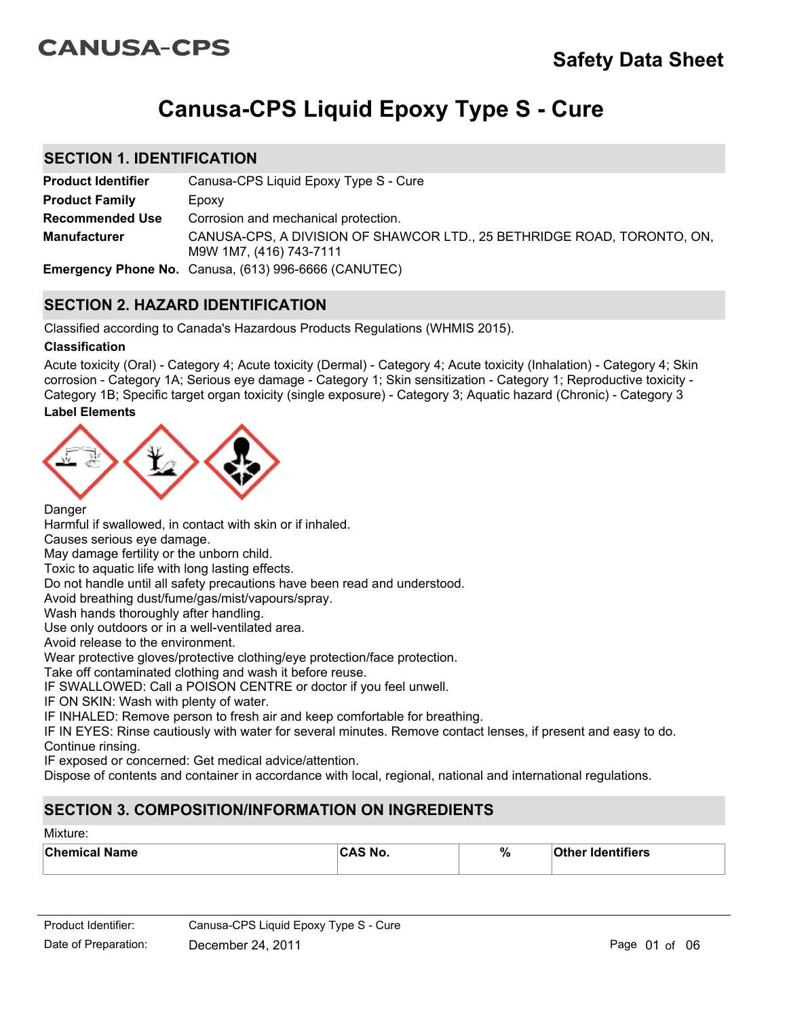# **CANUSA-CPS**

# **Canusa-CPS Liquid Epoxy Type S - Cure**

## **SECTION 1. IDENTIFICATION**

| <b>Product Identifier</b> | Canusa-CPS Liquid Epoxy Type S - Cure                                                              |
|---------------------------|----------------------------------------------------------------------------------------------------|
| <b>Product Family</b>     | Epoxy                                                                                              |
| <b>Recommended Use</b>    | Corrosion and mechanical protection.                                                               |
| <b>Manufacturer</b>       | CANUSA-CPS, A DIVISION OF SHAWCOR LTD., 25 BETHRIDGE ROAD, TORONTO, ON,<br>M9W 1M7, (416) 743-7111 |
|                           | <b>Emergency Phone No.</b> Canusa, (613) 996-6666 (CANUTEC)                                        |

# **SECTION 2. HAZARD IDENTIFICATION**

Classified according to Canada's Hazardous Products Regulations (WHMIS 2015).

#### **Classification**

Acute toxicity (Oral) - Category 4; Acute toxicity (Dermal) - Category 4; Acute toxicity (Inhalation) - Category 4; Skin corrosion - Category 1A; Serious eye damage - Category 1; Skin sensitization - Category 1; Reproductive toxicity - Category 1B; Specific target organ toxicity (single exposure) - Category 3; Aquatic hazard (Chronic) - Category 3

#### **Label Elements**



**Danger** 

Harmful if swallowed, in contact with skin or if inhaled.

Causes serious eye damage.

May damage fertility or the unborn child.

Toxic to aquatic life with long lasting effects.

Do not handle until all safety precautions have been read and understood.

Avoid breathing dust/fume/gas/mist/vapours/spray.

Wash hands thoroughly after handling.

Use only outdoors or in a well-ventilated area.

Avoid release to the environment.

Wear protective gloves/protective clothing/eye protection/face protection.

Take off contaminated clothing and wash it before reuse.

IF SWALLOWED: Call a POISON CENTRE or doctor if you feel unwell.

IF ON SKIN: Wash with plenty of water.

IF INHALED: Remove person to fresh air and keep comfortable for breathing.

IF IN EYES: Rinse cautiously with water for several minutes. Remove contact lenses, if present and easy to do. Continue rinsing.

IF exposed or concerned: Get medical advice/attention.

Dispose of contents and container in accordance with local, regional, national and international regulations.

# **SECTION 3. COMPOSITION/INFORMATION ON INGREDIENTS**

#### Mixture:

| <b>Chemical Name</b> | <b>ASNO</b><br>.<br>_______ | $\%$ | <b>Other Identifiers</b> |
|----------------------|-----------------------------|------|--------------------------|
|                      |                             |      |                          |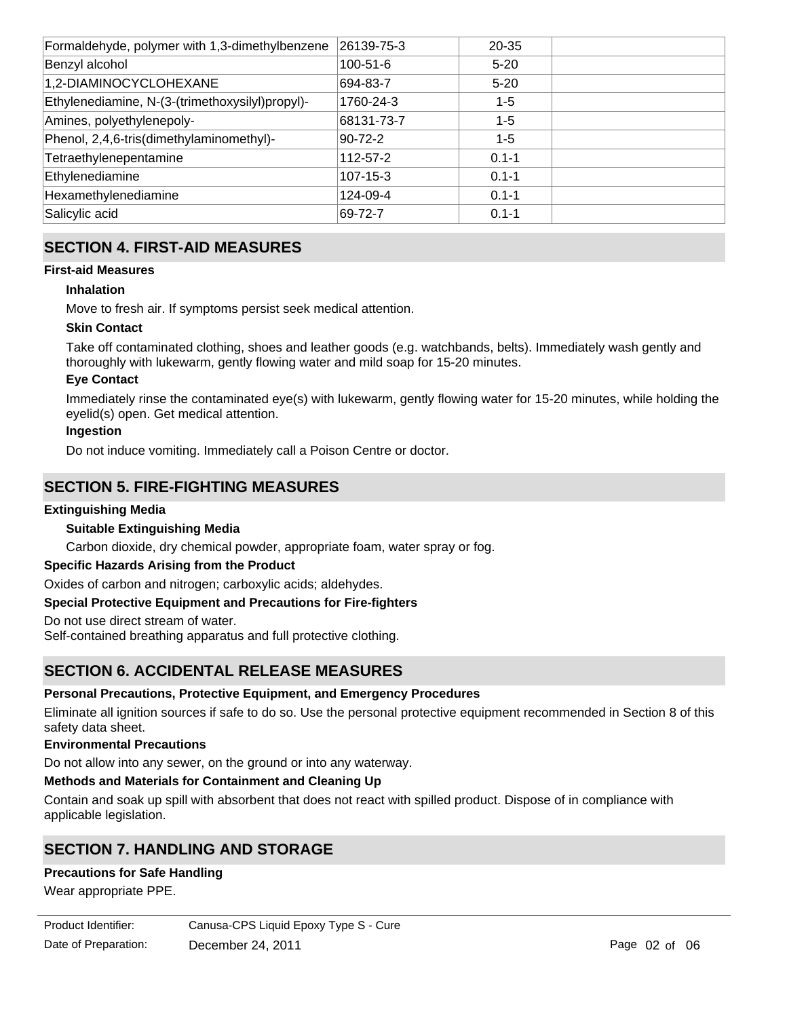| Formaldehyde, polymer with 1,3-dimethylbenzene  | 26139-75-3     | $20 - 35$ |  |
|-------------------------------------------------|----------------|-----------|--|
| Benzyl alcohol                                  | $100 - 51 - 6$ | $5 - 20$  |  |
| 1,2-DIAMINOCYCLOHEXANE                          | 694-83-7       | $5 - 20$  |  |
| Ethylenediamine, N-(3-(trimethoxysilyl)propyl)- | 1760-24-3      | $1 - 5$   |  |
| Amines, polyethylenepoly-                       | 68131-73-7     | $1 - 5$   |  |
| Phenol, 2,4,6-tris(dimethylaminomethyl)-        | $90 - 72 - 2$  | $1 - 5$   |  |
| Tetraethylenepentamine                          | 112-57-2       | $0.1 - 1$ |  |
| Ethylenediamine                                 | 107-15-3       | $0.1 - 1$ |  |
| Hexamethylenediamine                            | 124-09-4       | $0.1 - 1$ |  |
| Salicylic acid                                  | 69-72-7        | $0.1 - 1$ |  |

# **SECTION 4. FIRST-AID MEASURES**

### **First-aid Measures**

### **Inhalation**

Move to fresh air. If symptoms persist seek medical attention.

### **Skin Contact**

Take off contaminated clothing, shoes and leather goods (e.g. watchbands, belts). Immediately wash gently and thoroughly with lukewarm, gently flowing water and mild soap for 15-20 minutes.

### **Eye Contact**

Immediately rinse the contaminated eye(s) with lukewarm, gently flowing water for 15-20 minutes, while holding the eyelid(s) open. Get medical attention.

### **Ingestion**

Do not induce vomiting. Immediately call a Poison Centre or doctor.

# **SECTION 5. FIRE-FIGHTING MEASURES**

### **Extinguishing Media**

### **Suitable Extinguishing Media**

Carbon dioxide, dry chemical powder, appropriate foam, water spray or fog.

### **Specific Hazards Arising from the Product**

Oxides of carbon and nitrogen; carboxylic acids; aldehydes.

#### **Special Protective Equipment and Precautions for Fire-fighters**

Do not use direct stream of water.

Self-contained breathing apparatus and full protective clothing.

# **SECTION 6. ACCIDENTAL RELEASE MEASURES**

#### **Personal Precautions, Protective Equipment, and Emergency Procedures**

Eliminate all ignition sources if safe to do so. Use the personal protective equipment recommended in Section 8 of this safety data sheet.

### **Environmental Precautions**

Do not allow into any sewer, on the ground or into any waterway.

### **Methods and Materials for Containment and Cleaning Up**

Contain and soak up spill with absorbent that does not react with spilled product. Dispose of in compliance with applicable legislation.

# **SECTION 7. HANDLING AND STORAGE**

## **Precautions for Safe Handling**

**Conditions for Safe Storage**

Wear appropriate PPE.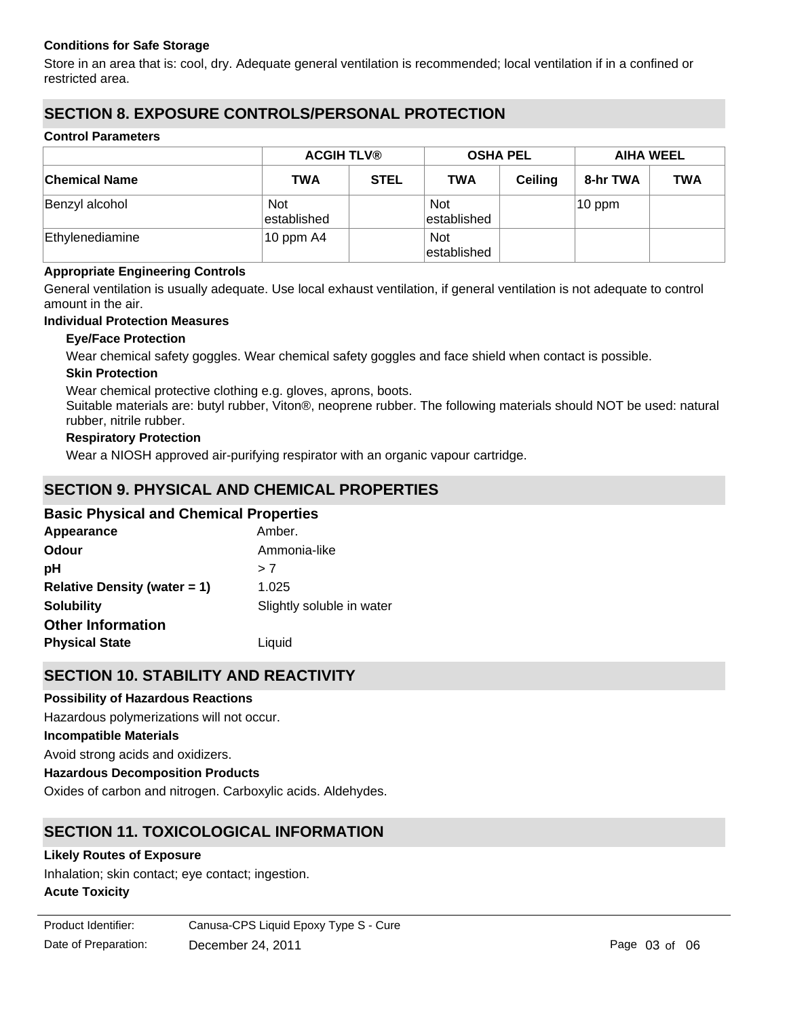### **Conditions for Safe Storage**

Store in an area that is: cool, dry. Adequate general ventilation is recommended; local ventilation if in a confined or restricted area.

# **SECTION 8. EXPOSURE CONTROLS/PERSONAL PROTECTION**

#### **Control Parameters**

|                      | <b>ACGIH TLV®</b>         |             | <b>OSHA PEL</b>           |                | <b>AIHA WEEL</b> |            |
|----------------------|---------------------------|-------------|---------------------------|----------------|------------------|------------|
| <b>Chemical Name</b> | <b>TWA</b>                | <b>STEL</b> | <b>TWA</b>                | <b>Ceiling</b> | 8-hr TWA         | <b>TWA</b> |
| Benzyl alcohol       | <b>Not</b><br>established |             | <b>Not</b><br>established |                | 10 ppm           |            |
| Ethylenediamine      | $10$ ppm A4               |             | <b>Not</b><br>established |                |                  |            |

### **Appropriate Engineering Controls**

General ventilation is usually adequate. Use local exhaust ventilation, if general ventilation is not adequate to control amount in the air.

#### **Individual Protection Measures**

### **Eye/Face Protection**

Wear chemical safety goggles. Wear chemical safety goggles and face shield when contact is possible.

#### **Skin Protection**

Wear chemical protective clothing e.g. gloves, aprons, boots.

Suitable materials are: butyl rubber, Viton®, neoprene rubber. The following materials should NOT be used: natural rubber, nitrile rubber.

#### **Respiratory Protection**

Wear a NIOSH approved air-purifying respirator with an organic vapour cartridge.

# **SECTION 9. PHYSICAL AND CHEMICAL PROPERTIES**

### **Basic Physical and Chemical Properties**

| Appearance                      | Amber.                    |
|---------------------------------|---------------------------|
| <b>Odour</b>                    | Ammonia-like              |
| рH                              | > 7                       |
| Relative Density (water $= 1$ ) | 1.025                     |
| <b>Solubility</b>               | Slightly soluble in water |
| <b>Other Information</b>        |                           |
| <b>Physical State</b>           | Liquid                    |

# **SECTION 10. STABILITY AND REACTIVITY**

### **Possibility of Hazardous Reactions**

Hazardous polymerizations will not occur.

### **Incompatible Materials**

Avoid strong acids and oxidizers.

#### **Hazardous Decomposition Products**

Oxides of carbon and nitrogen. Carboxylic acids. Aldehydes.

# **SECTION 11. TOXICOLOGICAL INFORMATION**

### **Likely Routes of Exposure**

Inhalation; skin contact; eye contact; ingestion.

#### **Acute Toxicity**

| Product Identifier:  | Canusa-CPS Liquid Epoxy Type S - Cure |
|----------------------|---------------------------------------|
| Date of Preparation: | December 24, 2011                     |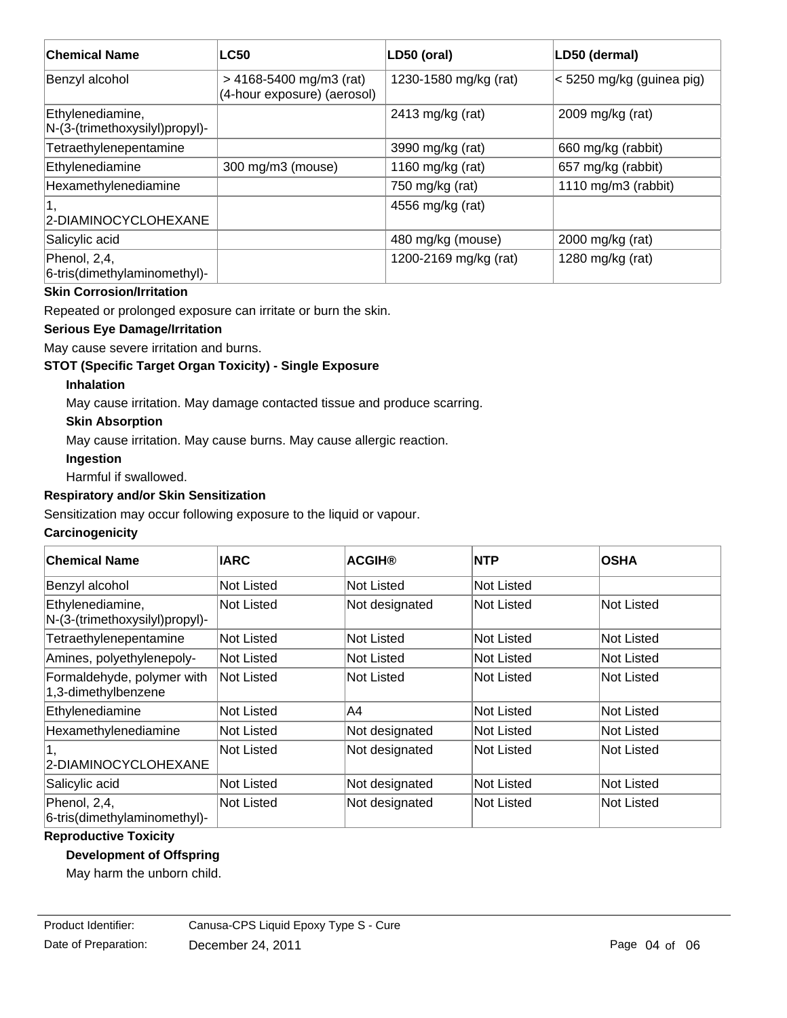| <b>Chemical Name</b>                               | <b>LC50</b>                                                | LD50 (oral)           | LD50 (dermal)             |
|----------------------------------------------------|------------------------------------------------------------|-----------------------|---------------------------|
| Benzyl alcohol                                     | $> 4168 - 5400$ mg/m3 (rat)<br>(4-hour exposure) (aerosol) | 1230-1580 mg/kg (rat) | < 5250 mg/kg (guinea pig) |
| Ethylenediamine,<br>N-(3-(trimethoxysilyl)propyl)- |                                                            | 2413 mg/kg (rat)      | 2009 mg/kg (rat)          |
| Tetraethylenepentamine                             |                                                            | 3990 mg/kg (rat)      | 660 mg/kg (rabbit)        |
| Ethylenediamine                                    | 300 mg/m3 (mouse)                                          | 1160 mg/kg (rat)      | 657 mg/kg (rabbit)        |
| Hexamethylenediamine                               |                                                            | 750 mg/kg (rat)       | 1110 mg/m3 (rabbit)       |
| $\mathbf{1,}$<br>2-DIAMINOCYCLOHEXANE              |                                                            | 4556 mg/kg (rat)      |                           |
| Salicylic acid                                     |                                                            | 480 mg/kg (mouse)     | 2000 mg/kg (rat)          |
| Phenol, 2,4,<br>6-tris(dimethylaminomethyl)-       |                                                            | 1200-2169 mg/kg (rat) | 1280 mg/kg (rat)          |

# **Skin Corrosion/Irritation**

Repeated or prolonged exposure can irritate or burn the skin.

# **Serious Eye Damage/Irritation**

May cause severe irritation and burns.

### **STOT (Specific Target Organ Toxicity) - Single Exposure**

### **Inhalation**

May cause irritation. May damage contacted tissue and produce scarring.

### **Skin Absorption**

May cause irritation. May cause burns. May cause allergic reaction.

### **Ingestion**

Harmful if swallowed.

## **Respiratory and/or Skin Sensitization**

Sensitization may occur following exposure to the liquid or vapour.

### **Carcinogenicity**

| <b>Chemical Name</b>                               | <b>IARC</b>       | <b>ACGIH®</b>  | <b>NTP</b> | <b>OSHA</b>       |
|----------------------------------------------------|-------------------|----------------|------------|-------------------|
| Benzyl alcohol                                     | <b>Not Listed</b> | Not Listed     | Not Listed |                   |
| Ethylenediamine,<br>N-(3-(trimethoxysilyl)propyl)- | <b>Not Listed</b> | Not designated | Not Listed | Not Listed        |
| Tetraethylenepentamine                             | <b>Not Listed</b> | Not Listed     | Not Listed | <b>Not Listed</b> |
| Amines, polyethylenepoly-                          | Not Listed        | Not Listed     | Not Listed | Not Listed        |
| Formaldehyde, polymer with<br>1,3-dimethylbenzene  | Not Listed        | Not Listed     | Not Listed | Not Listed        |
| Ethylenediamine                                    | <b>Not Listed</b> | IA4            | Not Listed | Not Listed        |
| Hexamethylenediamine                               | Not Listed        | Not designated | Not Listed | Not Listed        |
| 2-DIAMINOCYCLOHEXANE                               | <b>Not Listed</b> | Not designated | Not Listed | Not Listed        |
| Salicylic acid                                     | <b>Not Listed</b> | Not designated | Not Listed | Not Listed        |
| Phenol, 2,4,<br>6-tris(dimethylaminomethyl)-       | <b>Not Listed</b> | Not designated | Not Listed | Not Listed        |

### **Reproductive Toxicity**

### **Development of Offspring**

May harm the unborn child.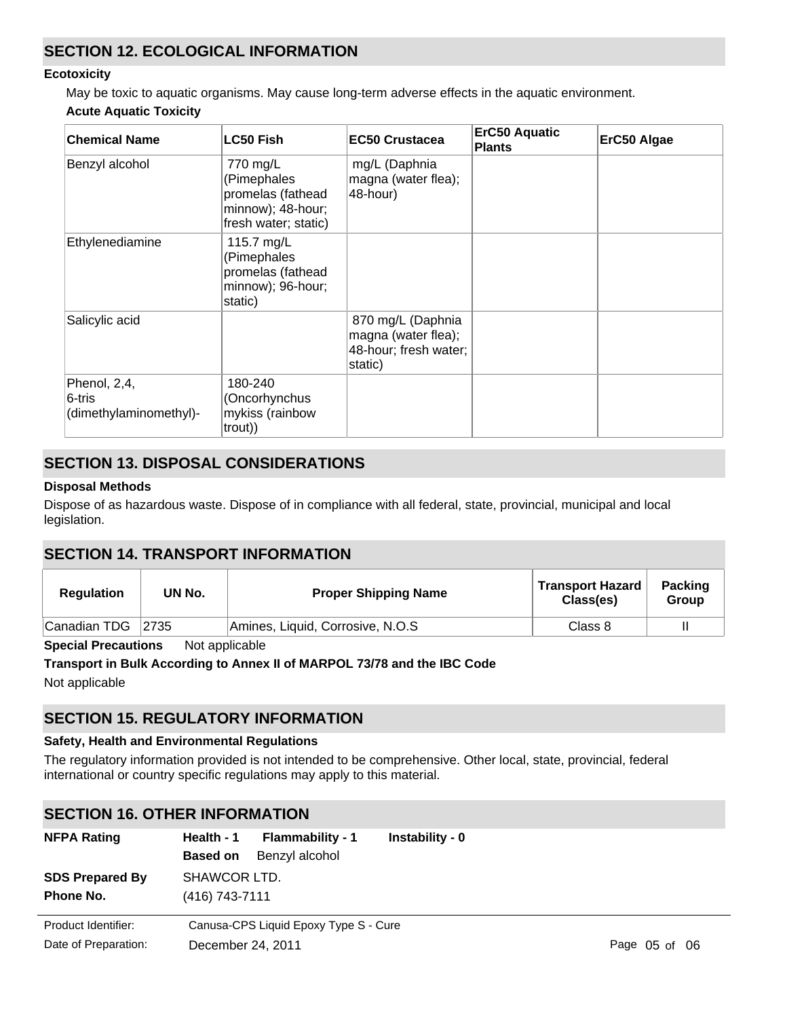# **SECTION 12. ECOLOGICAL INFORMATION**

#### **Ecotoxicity**

May be toxic to aquatic organisms. May cause long-term adverse effects in the aquatic environment. **Acute Aquatic Toxicity**

| <b>Chemical Name</b>                             | <b>LC50 Fish</b>                                                                          | <b>EC50 Crustacea</b>                                                        | <b>ErC50 Aquatic</b><br><b>Plants</b> | ErC50 Algae |
|--------------------------------------------------|-------------------------------------------------------------------------------------------|------------------------------------------------------------------------------|---------------------------------------|-------------|
| Benzyl alcohol                                   | 770 mg/L<br>(Pimephales<br>promelas (fathead<br>minnow); 48-hour;<br>fresh water; static) | mg/L (Daphnia<br>magna (water flea);<br>48-hour)                             |                                       |             |
| Ethylenediamine                                  | 115.7 mg/L<br>(Pimephales<br>promelas (fathead<br>minnow); 96-hour;<br>static)            |                                                                              |                                       |             |
| Salicylic acid                                   |                                                                                           | 870 mg/L (Daphnia<br>magna (water flea);<br>48-hour; fresh water;<br>static) |                                       |             |
| Phenol, 2,4,<br>6-tris<br>(dimethylaminomethyl)- | 180-240<br>(Oncorhynchus<br>mykiss (rainbow<br>trout))                                    |                                                                              |                                       |             |

# **SECTION 13. DISPOSAL CONSIDERATIONS**

### **Disposal Methods**

Dispose of as hazardous waste. Dispose of in compliance with all federal, state, provincial, municipal and local legislation.

# **SECTION 14. TRANSPORT INFORMATION**

| <b>Regulation</b> | UN No. | <b>Proper Shipping Name</b>      | <b>Transport Hazard</b><br>Class(es) | <b>Packing</b><br>Group |
|-------------------|--------|----------------------------------|--------------------------------------|-------------------------|
| Canadian TDG      | 2735   | Amines, Liquid, Corrosive, N.O.S | Class 8                              |                         |

**Special Precautions** Not applicable

#### **Transport in Bulk According to Annex II of MARPOL 73/78 and the IBC Code**

Not applicable

# **SECTION 15. REGULATORY INFORMATION**

#### **Safety, Health and Environmental Regulations**

The regulatory information provided is not intended to be comprehensive. Other local, state, provincial, federal international or country specific regulations may apply to this material.

# **SECTION 16. OTHER INFORMATION**

| <b>NFPA Rating</b>     | Health - 1        | <b>Flammability - 1</b>               | Instability - 0 |               |
|------------------------|-------------------|---------------------------------------|-----------------|---------------|
|                        | <b>Based on</b>   | Benzyl alcohol                        |                 |               |
| <b>SDS Prepared By</b> | SHAWCOR LTD.      |                                       |                 |               |
| Phone No.              | (416) 743-7111    |                                       |                 |               |
| Product Identifier:    |                   | Canusa-CPS Liquid Epoxy Type S - Cure |                 |               |
| Date of Preparation:   | December 24, 2011 |                                       |                 | Page 05 of 06 |